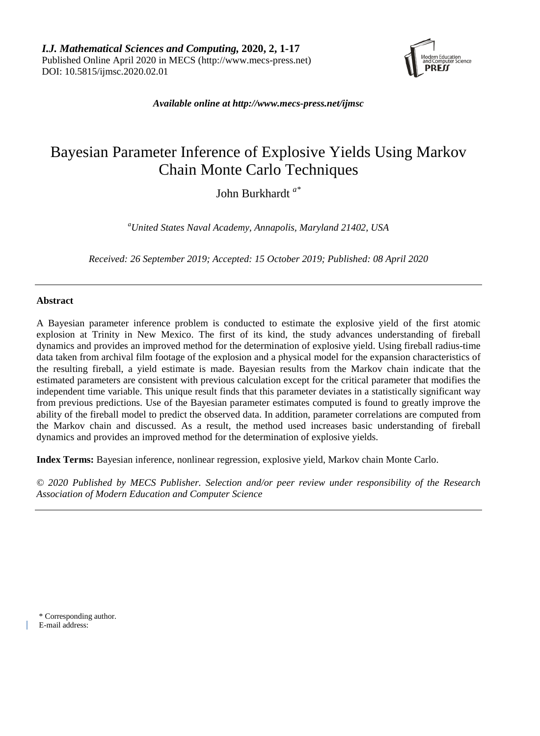

*Available online at [http://www.mecs-press.net/ijmsc](http://www.mecs-press.net/ijwmt)*

# Bayesian Parameter Inference of Explosive Yields Using Markov Chain Monte Carlo Techniques

John Burkhardt *a\**

*a United States Naval Academy, Annapolis, Maryland 21402, USA*

*Received: 26 September 2019; Accepted: 15 October 2019; Published: 08 April 2020*

# **Abstract**

A Bayesian parameter inference problem is conducted to estimate the explosive yield of the first atomic explosion at Trinity in New Mexico. The first of its kind, the study advances understanding of fireball dynamics and provides an improved method for the determination of explosive yield. Using fireball radius-time data taken from archival film footage of the explosion and a physical model for the expansion characteristics of the resulting fireball, a yield estimate is made. Bayesian results from the Markov chain indicate that the estimated parameters are consistent with previous calculation except for the critical parameter that modifies the independent time variable. This unique result finds that this parameter deviates in a statistically significant way from previous predictions. Use of the Bayesian parameter estimates computed is found to greatly improve the ability of the fireball model to predict the observed data. In addition, parameter correlations are computed from the Markov chain and discussed. As a result, the method used increases basic understanding of fireball dynamics and provides an improved method for the determination of explosive yields.

**Index Terms:** Bayesian inference, nonlinear regression, explosive yield, Markov chain Monte Carlo.

*© 2020 Published by MECS Publisher. Selection and/or peer review under responsibility of the Research Association of Modern Education and Computer Science*

\* Corresponding author.

E-mail address: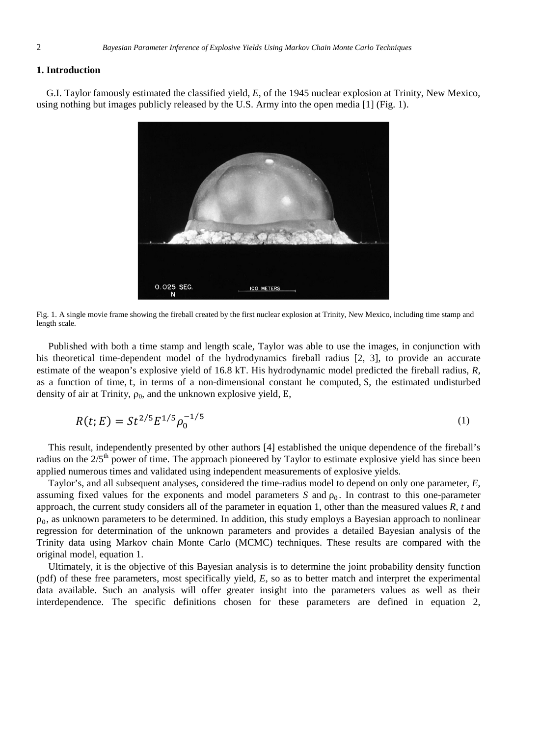### **1. Introduction**

G.I. Taylor famously estimated the classified yield, *E*, of the 1945 nuclear explosion at Trinity, New Mexico, using nothing but images publicly released by the U.S. Army into the open media [1] (Fig. 1).



Fig. 1. A single movie frame showing the fireball created by the first nuclear explosion at Trinity, New Mexico, including time stamp and length scale.

Published with both a time stamp and length scale, Taylor was able to use the images, in conjunction with his theoretical time-dependent model of the hydrodynamics fireball radius [2, 3], to provide an accurate estimate of the weapon's explosive yield of 16.8 kT. His hydrodynamic model predicted the fireball radius, *R*, as a function of time, t, in terms of a non-dimensional constant he computed, S, the estimated undisturbed density of air at Trinity,  $\rho_0$ , and the unknown explosive yield, E,

$$
R(t;E) = St^{2/5} E^{1/5} \rho_0^{-1/5}
$$
 (1)

This result, independently presented by other authors [4] established the unique dependence of the fireball's radius on the 2/5<sup>th</sup> power of time. The approach pioneered by Taylor to estimate explosive yield has since been applied numerous times and validated using independent measurements of explosive yields.

Taylor's, and all subsequent analyses, considered the time-radius model to depend on only one parameter, *E*, assuming fixed values for the exponents and model parameters *S* and  $\rho_0$ . In contrast to this one-parameter approach, the current study considers all of the parameter in equation 1, other than the measured values *R*, *t* and  $\rho_0$ , as unknown parameters to be determined. In addition, this study employs a Bayesian approach to nonlinear regression for determination of the unknown parameters and provides a detailed Bayesian analysis of the Trinity data using Markov chain Monte Carlo (MCMC) techniques. These results are compared with the original model, equation 1.

Ultimately, it is the objective of this Bayesian analysis is to determine the joint probability density function (pdf) of these free parameters, most specifically yield, *E*, so as to better match and interpret the experimental data available. Such an analysis will offer greater insight into the parameters values as well as their interdependence. The specific definitions chosen for these parameters are defined in equation 2,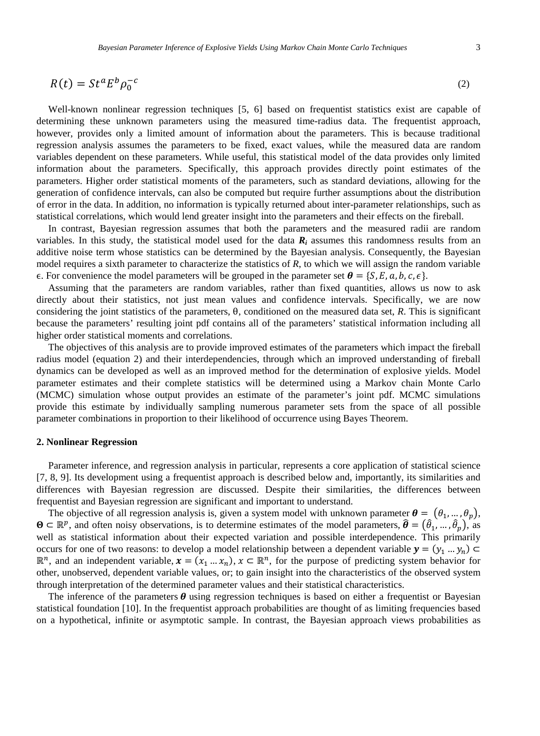$$
R(t) = St^a E^b \rho_0^{-c}
$$
 (2)

Well-known nonlinear regression techniques [5, 6] based on frequentist statistics exist are capable of determining these unknown parameters using the measured time-radius data. The frequentist approach, however, provides only a limited amount of information about the parameters. This is because traditional regression analysis assumes the parameters to be fixed, exact values, while the measured data are random variables dependent on these parameters. While useful, this statistical model of the data provides only limited information about the parameters. Specifically, this approach provides directly point estimates of the parameters. Higher order statistical moments of the parameters, such as standard deviations, allowing for the generation of confidence intervals, can also be computed but require further assumptions about the distribution of error in the data. In addition, no information is typically returned about inter-parameter relationships, such as statistical correlations, which would lend greater insight into the parameters and their effects on the fireball.

In contrast, Bayesian regression assumes that both the parameters and the measured radii are random variables. In this study, the statistical model used for the data  $R_i$  assumes this randomness results from an additive noise term whose statistics can be determined by the Bayesian analysis. Consequently, the Bayesian model requires a sixth parameter to characterize the statistics of *R*, to which we will assign the random variable  $\epsilon$ . For convenience the model parameters will be grouped in the parameter set  $\boldsymbol{\theta} = \{S, E, a, b, c, \epsilon\}.$ 

Assuming that the parameters are random variables, rather than fixed quantities, allows us now to ask directly about their statistics, not just mean values and confidence intervals. Specifically, we are now considering the joint statistics of the parameters, θ, conditioned on the measured data set, *R*. This is significant because the parameters' resulting joint pdf contains all of the parameters' statistical information including all higher order statistical moments and correlations.

The objectives of this analysis are to provide improved estimates of the parameters which impact the fireball radius model (equation 2) and their interdependencies, through which an improved understanding of fireball dynamics can be developed as well as an improved method for the determination of explosive yields. Model parameter estimates and their complete statistics will be determined using a Markov chain Monte Carlo (MCMC) simulation whose output provides an estimate of the parameter's joint pdf. MCMC simulations provide this estimate by individually sampling numerous parameter sets from the space of all possible parameter combinations in proportion to their likelihood of occurrence using Bayes Theorem.

#### **2. Nonlinear Regression**

Parameter inference, and regression analysis in particular, represents a core application of statistical science [7, 8, 9]. Its development using a frequentist approach is described below and, importantly, its similarities and differences with Bayesian regression are discussed. Despite their similarities, the differences between frequentist and Bayesian regression are significant and important to understand.

The objective of all regression analysis is, given a system model with unknown parameter  $\theta = (\theta_1, ..., \theta_n)$ ,  $\mathbf{\Theta} \subset \mathbb{R}^p$ , and often noisy observations, is to determine estimates of the model parameters,  $\hat{\theta} = (\hat{\theta}_1, ..., \hat{\theta}_p)$ , as well as statistical information about their expected variation and possible interdependence. This primarily occurs for one of two reasons: to develop a model relationship between a dependent variable  $\mathbf{y} = (y_1 \dots y_n)$  $\mathbb{R}^n$ , and an independent variable,  $\mathbf{x} = (x_1 \dots x_n)$ ,  $\mathbf{x} \in \mathbb{R}^n$ , for the purpose of predicting system behavior for other, unobserved, dependent variable values, or; to gain insight into the characteristics of the observed system through interpretation of the determined parameter values and their statistical characteristics.

The inference of the parameters  $\theta$  using regression techniques is based on either a frequentist or Bayesian statistical foundation [10]. In the frequentist approach probabilities are thought of as limiting frequencies based on a hypothetical, infinite or asymptotic sample. In contrast, the Bayesian approach views probabilities as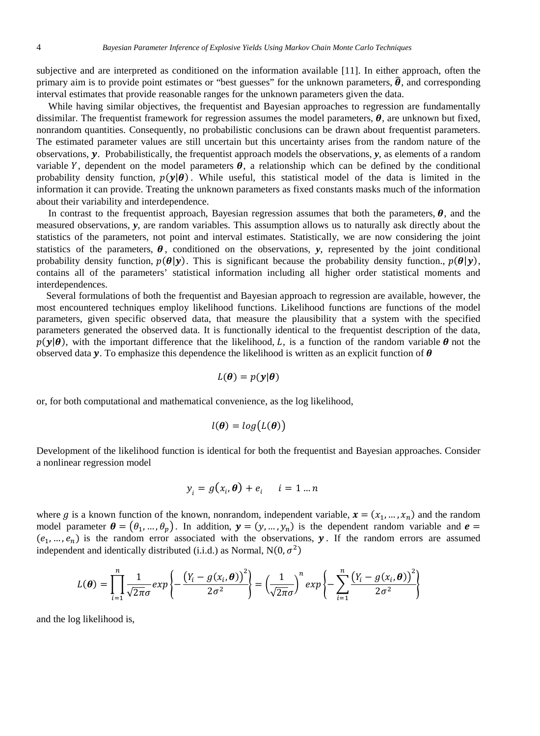subjective and are interpreted as conditioned on the information available [11]. In either approach, often the primary aim is to provide point estimates or "best guesses" for the unknown parameters,  $\hat{\theta}$ , and corresponding interval estimates that provide reasonable ranges for the unknown parameters given the data.

While having similar objectives, the frequentist and Bayesian approaches to regression are fundamentally dissimilar. The frequentist framework for regression assumes the model parameters,  $\theta$ , are unknown but fixed, nonrandom quantities. Consequently, no probabilistic conclusions can be drawn about frequentist parameters. The estimated parameter values are still uncertain but this uncertainty arises from the random nature of the observations,  $\bf{y}$ . Probabilistically, the frequentist approach models the observations,  $\bf{y}$ , as elements of a random variable Y, dependent on the model parameters  $\theta$ , a relationship which can be defined by the conditional probability density function,  $p(y|\theta)$ . While useful, this statistical model of the data is limited in the information it can provide. Treating the unknown parameters as fixed constants masks much of the information about their variability and interdependence.

In contrast to the frequentist approach, Bayesian regression assumes that both the parameters,  $\theta$ , and the measured observations, *y*, are random variables. This assumption allows us to naturally ask directly about the statistics of the parameters, not point and interval estimates. Statistically, we are now considering the joint statistics of the parameters,  $\theta$ , conditioned on the observations,  $\gamma$ , represented by the joint conditional probability density function,  $p(\theta|\mathbf{y})$ . This is significant because the probability density function.,  $p(\theta|\mathbf{y})$ , contains all of the parameters' statistical information including all higher order statistical moments and interdependences.

Several formulations of both the frequentist and Bayesian approach to regression are available, however, the most encountered techniques employ likelihood functions. Likelihood functions are functions of the model parameters, given specific observed data, that measure the plausibility that a system with the specified parameters generated the observed data. It is functionally identical to the frequentist description of the data,  $p(\mathbf{y}|\boldsymbol{\theta})$ , with the important difference that the likelihood, L, is a function of the random variable  $\boldsymbol{\theta}$  not the observed data y. To emphasize this dependence the likelihood is written as an explicit function of  $\theta$ 

$$
L(\boldsymbol{\theta}) = p(\mathbf{y}|\boldsymbol{\theta})
$$

or, for both computational and mathematical convenience, as the log likelihood,

$$
l(\boldsymbol{\theta}) = log(L(\boldsymbol{\theta}))
$$

Development of the likelihood function is identical for both the frequentist and Bayesian approaches. Consider a nonlinear regression model

$$
y_i = g(x_i, \boldsymbol{\theta}) + e_i \quad i = 1 \dots n
$$

where g is a known function of the known, nonrandom, independent variable,  $\mathbf{x} = (x_1, ..., x_n)$  and the random model parameter  $\boldsymbol{\theta} = (\theta_1, ..., \theta_p)$ . In addition,  $\mathbf{y} = (y, ..., y_n)$  is the dependent random variable and  $\mathbf{e} =$  $(e_1, ..., e_n)$  is the random error associated with the observations, **y**. If the random errors are assumed independent and identically distributed (i.i.d.) as Normal,  $N(0, \sigma^2)$ 

$$
L(\boldsymbol{\theta}) = \prod_{i=1}^{n} \frac{1}{\sqrt{2\pi}\sigma} exp\left\{-\frac{\left(Y_i - g(x_i, \boldsymbol{\theta})\right)^2}{2\sigma^2}\right\} = \left(\frac{1}{\sqrt{2\pi}\sigma}\right)^n exp\left\{-\sum_{i=1}^{n} \frac{\left(Y_i - g(x_i, \boldsymbol{\theta})\right)^2}{2\sigma^2}\right\}
$$

and the log likelihood is,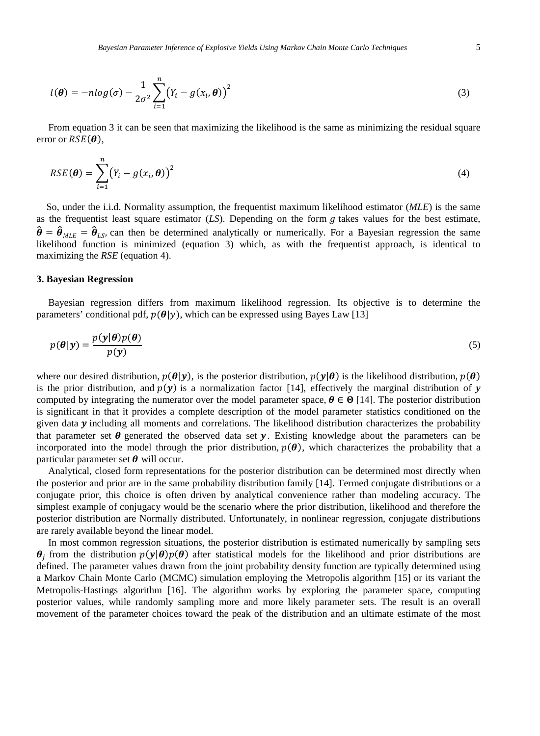$$
l(\boldsymbol{\theta}) = -n \log(\sigma) - \frac{1}{2\sigma^2} \sum_{i=1}^n (Y_i - g(x_i, \boldsymbol{\theta}))^2
$$
\n(3)

From equation 3 it can be seen that maximizing the likelihood is the same as minimizing the residual square error or  $RSE(\theta)$ ,

$$
RSE(\boldsymbol{\theta}) = \sum_{i=1}^{n} (Y_i - g(x_i, \boldsymbol{\theta}))^2
$$
\n(4)

So, under the i.i.d. Normality assumption, the frequentist maximum likelihood estimator (*MLE*) is the same as the frequentist least square estimator  $(LS)$ . Depending on the form  $g$  takes values for the best estimate,  $\hat{\theta} = \hat{\theta}_{MLE} = \hat{\theta}_{LS}$ , can then be determined analytically or numerically. For a Bayesian regression the same likelihood function is minimized (equation 3) which, as with the frequentist approach, is identical to maximizing the *RSE* (equation 4).

#### **3. Bayesian Regression**

Bayesian regression differs from maximum likelihood regression. Its objective is to determine the parameters' conditional pdf,  $p(\theta|y)$ , which can be expressed using Bayes Law [13]

$$
p(\theta|\mathbf{y}) = \frac{p(\mathbf{y}|\theta)p(\theta)}{p(\mathbf{y})}
$$
\n(5)

where our desired distribution,  $p(\theta|\mathbf{y})$ , is the posterior distribution,  $p(\mathbf{y}|\theta)$  is the likelihood distribution,  $p(\theta)$ is the prior distribution, and  $p(y)$  is a normalization factor [14], effectively the marginal distribution of *y* computed by integrating the numerator over the model parameter space,  $\theta \in \Theta$  [14]. The posterior distribution is significant in that it provides a complete description of the model parameter statistics conditioned on the given data  $\gamma$  including all moments and correlations. The likelihood distribution characterizes the probability that parameter set  $\theta$  generated the observed data set  $\gamma$ . Existing knowledge about the parameters can be incorporated into the model through the prior distribution,  $p(\theta)$ , which characterizes the probability that a particular parameter set  $\theta$  will occur.

Analytical, closed form representations for the posterior distribution can be determined most directly when the posterior and prior are in the same probability distribution family [14]. Termed conjugate distributions or a conjugate prior, this choice is often driven by analytical convenience rather than modeling accuracy. The simplest example of conjugacy would be the scenario where the prior distribution, likelihood and therefore the posterior distribution are Normally distributed. Unfortunately, in nonlinear regression, conjugate distributions are rarely available beyond the linear model.

In most common regression situations, the posterior distribution is estimated numerically by sampling sets  $\theta_i$  from the distribution  $p(y|\theta)p(\theta)$  after statistical models for the likelihood and prior distributions are defined. The parameter values drawn from the joint probability density function are typically determined using a Markov Chain Monte Carlo (MCMC) simulation employing the Metropolis algorithm [15] or its variant the Metropolis-Hastings algorithm [16]. The algorithm works by exploring the parameter space, computing posterior values, while randomly sampling more and more likely parameter sets. The result is an overall movement of the parameter choices toward the peak of the distribution and an ultimate estimate of the most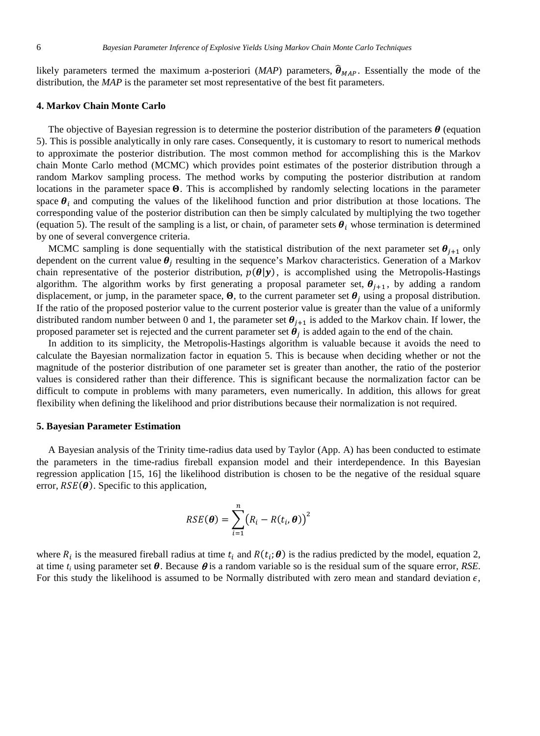likely parameters termed the maximum a-posteriori (*MAP*) parameters,  $\hat{\theta}_{MAP}$ . Essentially the mode of the distribution, the *MAP* is the parameter set most representative of the best fit parameters.

#### **4. Markov Chain Monte Carlo**

The objective of Bayesian regression is to determine the posterior distribution of the parameters  $\theta$  (equation 5). This is possible analytically in only rare cases. Consequently, it is customary to resort to numerical methods to approximate the posterior distribution. The most common method for accomplishing this is the Markov chain Monte Carlo method (MCMC) which provides point estimates of the posterior distribution through a random Markov sampling process. The method works by computing the posterior distribution at random locations in the parameter space  $\Theta$ . This is accomplished by randomly selecting locations in the parameter space  $\theta_i$  and computing the values of the likelihood function and prior distribution at those locations. The corresponding value of the posterior distribution can then be simply calculated by multiplying the two together (equation 5). The result of the sampling is a list, or chain, of parameter sets  $\theta_i$  whose termination is determined by one of several convergence criteria.

MCMC sampling is done sequentially with the statistical distribution of the next parameter set  $\theta_{i+1}$  only dependent on the current value  $\theta_i$  resulting in the sequence's Markov characteristics. Generation of a Markov chain representative of the posterior distribution,  $p(\theta|\mathbf{y})$ , is accomplished using the Metropolis-Hastings algorithm. The algorithm works by first generating a proposal parameter set,  $\theta_{i+1}$ , by adding a random displacement, or jump, in the parameter space,  $\Theta$ , to the current parameter set  $\theta_j$  using a proposal distribution. If the ratio of the proposed posterior value to the current posterior value is greater than the value of a uniformly distributed random number between 0 and 1, the parameter set  $\theta_{i+1}$  is added to the Markov chain. If lower, the proposed parameter set is rejected and the current parameter set  $\dot{\theta}_i$  is added again to the end of the chain.

In addition to its simplicity, the Metropolis-Hastings algorithm is valuable because it avoids the need to calculate the Bayesian normalization factor in equation 5. This is because when deciding whether or not the magnitude of the posterior distribution of one parameter set is greater than another, the ratio of the posterior values is considered rather than their difference. This is significant because the normalization factor can be difficult to compute in problems with many parameters, even numerically. In addition, this allows for great flexibility when defining the likelihood and prior distributions because their normalization is not required.

### **5. Bayesian Parameter Estimation**

A Bayesian analysis of the Trinity time-radius data used by Taylor (App. A) has been conducted to estimate the parameters in the time-radius fireball expansion model and their interdependence. In this Bayesian regression application [15, 16] the likelihood distribution is chosen to be the negative of the residual square error,  $RSE(\theta)$ . Specific to this application,

$$
RSE(\boldsymbol{\theta}) = \sum_{i=1}^{n} (R_i - R(t_i, \boldsymbol{\theta}))^2
$$

where  $R_i$  is the measured fireball radius at time  $t_i$  and  $R(t_i; \theta)$  is the radius predicted by the model, equation 2, at time  $t_i$  using parameter set  $\theta$ . Because  $\theta$  is a random variable so is the residual sum of the square error, *RSE*. For this study the likelihood is assumed to be Normally distributed with zero mean and standard deviation  $\epsilon$ ,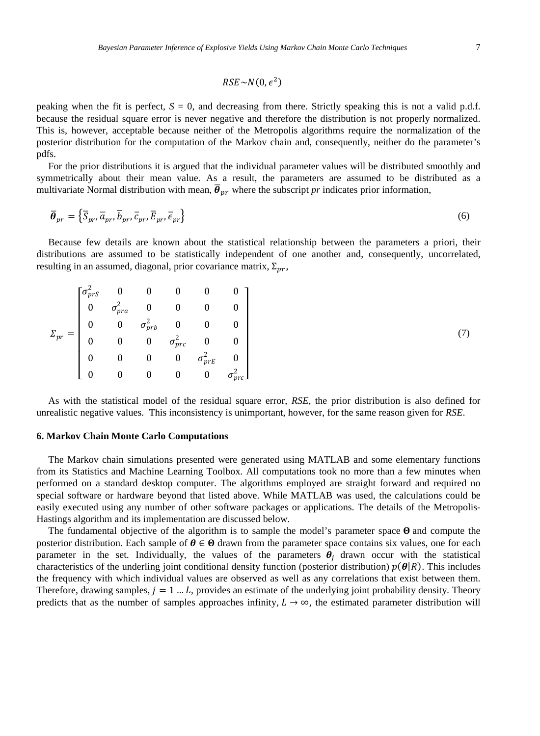$$
RSE \sim N(0, \epsilon^2)
$$

peaking when the fit is perfect,  $S = 0$ , and decreasing from there. Strictly speaking this is not a valid p.d.f. because the residual square error is never negative and therefore the distribution is not properly normalized. This is, however, acceptable because neither of the Metropolis algorithms require the normalization of the posterior distribution for the computation of the Markov chain and, consequently, neither do the parameter's pdfs.

For the prior distributions it is argued that the individual parameter values will be distributed smoothly and symmetrically about their mean value. As a result, the parameters are assumed to be distributed as a multivariate Normal distribution with mean,  $\vec{\theta}_{pr}$  where the subscript *pr* indicates prior information,

$$
\overline{\boldsymbol{\theta}}_{pr} = \left\{ \overline{S}_{pr}, \overline{a}_{pr}, \overline{b}_{pr}, \overline{c}_{pr}, \overline{E}_{pr}, \overline{\epsilon}_{pr} \right\}
$$
(6)

Because few details are known about the statistical relationship between the parameters a priori, their distributions are assumed to be statistically independent of one another and, consequently, uncorrelated, resulting in an assumed, diagonal, prior covariance matrix,  $\Sigma_{pr}$ ,

|             |  |  | $\left[ \begin{matrix} \sigma_{prS}^2 & 0 & 0 & 0 \ 0 & \sigma_{pra}^2 & 0 & 0 \ 0 & \sigma_{prb}^2 & 0 & 0 \ 0 & 0 & \sigma_{prc}^2 & 0 \ 0 & 0 & 0 & \sigma_{prc}^2 & 0 \ \end{matrix} \right]$ |  |
|-------------|--|--|---------------------------------------------------------------------------------------------------------------------------------------------------------------------------------------------------|--|
| $\sim_{pr}$ |  |  |                                                                                                                                                                                                   |  |
|             |  |  |                                                                                                                                                                                                   |  |
|             |  |  | $\sigma_{prE}^2$                                                                                                                                                                                  |  |

(7)

As with the statistical model of the residual square error, *RSE*, the prior distribution is also defined for unrealistic negative values. This inconsistency is unimportant, however, for the same reason given for *RSE*.

#### **6. Markov Chain Monte Carlo Computations**

The Markov chain simulations presented were generated using MATLAB and some elementary functions from its Statistics and Machine Learning Toolbox. All computations took no more than a few minutes when performed on a standard desktop computer. The algorithms employed are straight forward and required no special software or hardware beyond that listed above. While MATLAB was used, the calculations could be easily executed using any number of other software packages or applications. The details of the Metropolis-Hastings algorithm and its implementation are discussed below.

The fundamental objective of the algorithm is to sample the model's parameter space  $\Theta$  and compute the posterior distribution. Each sample of  $\theta \in \Theta$  drawn from the parameter space contains six values, one for each parameter in the set. Individually, the values of the parameters  $\theta_i$  drawn occur with the statistical characteristics of the underling joint conditional density function (posterior distribution)  $p(\theta|R)$ . This includes the frequency with which individual values are observed as well as any correlations that exist between them. Therefore, drawing samples,  $j = 1 ... L$ , provides an estimate of the underlying joint probability density. Theory predicts that as the number of samples approaches infinity,  $L \to \infty$ , the estimated parameter distribution will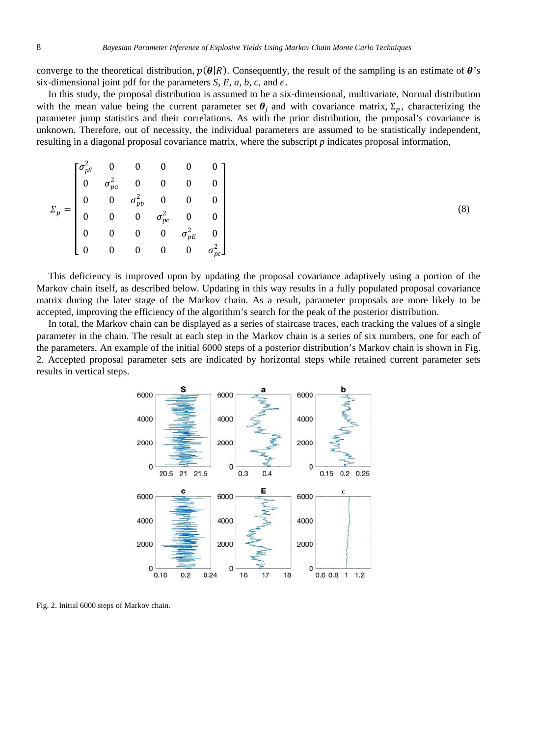converge to the theoretical distribution,  $p(\theta|R)$ . Consequently, the result of the sampling is an estimate of  $\theta$ 's six-dimensional joint pdf for the parameters *S*, *E*, *a*, *b*, *c*, and  $\epsilon$ .

In this study, the proposal distribution is assumed to be a six-dimensional, multivariate, Normal distribution with the mean value being the current parameter set  $\theta_i$  and with covariance matrix,  $\Sigma_n$ , characterizing the parameter jump statistics and their correlations. As with the prior distribution, the proposal's covariance is unknown. Therefore, out of necessity, the individual parameters are assumed to be statistically independent, resulting in a diagonal proposal covariance matrix, where the subscript *p* indicates proposal information,

|  | $\tau_{pa}^2$ | $\sigma_{pb}^2$ $\sigma_{pc}^2$<br>$r_{pE}^2$ |
|--|---------------|-----------------------------------------------|

(8)

This deficiency is improved upon by updating the proposal covariance adaptively using a portion of the Markov chain itself, as described below. Updating in this way results in a fully populated proposal covariance matrix during the later stage of the Markov chain. As a result, parameter proposals are more likely to be accepted, improving the efficiency of the algorithm's search for the peak of the posterior distribution.

In total, the Markov chain can be displayed as a series of staircase traces, each tracking the values of a single parameter in the chain. The result at each step in the Markov chain is a series of six numbers, one for each of the parameters. An example of the initial 6000 steps of a posterior distribution's Markov chain is shown in Fig. 2. Accepted proposal parameter sets are indicated by horizontal steps while retained current parameter sets results in vertical steps.



Fig. 2. Initial 6000 steps of Markov chain.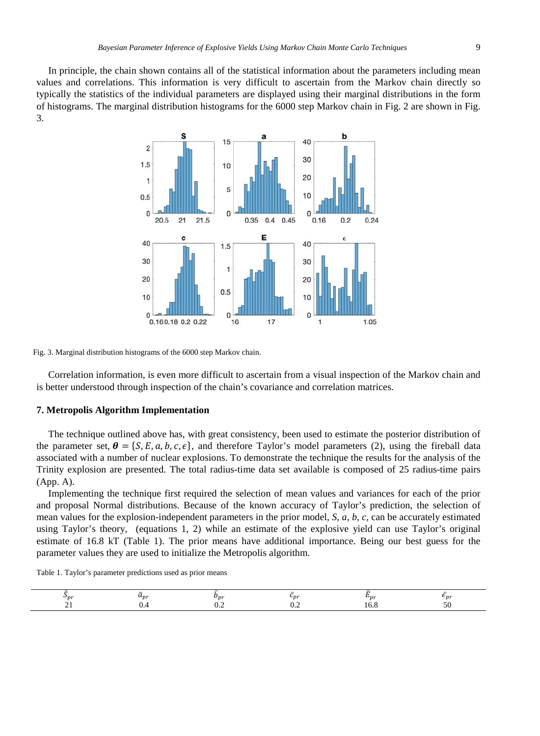In principle, the chain shown contains all of the statistical information about the parameters including mean values and correlations. This information is very difficult to ascertain from the Markov chain directly so typically the statistics of the individual parameters are displayed using their marginal distributions in the form of histograms. The marginal distribution histograms for the 6000 step Markov chain in Fig. 2 are shown in Fig. 3.



Fig. 3. Marginal distribution histograms of the 6000 step Markov chain.

Correlation information, is even more difficult to ascertain from a visual inspection of the Markov chain and is better understood through inspection of the chain's covariance and correlation matrices.

#### **7. Metropolis Algorithm Implementation**

The technique outlined above has, with great consistency, been used to estimate the posterior distribution of the parameter set,  $\theta = \{S, E, a, b, c, \epsilon\}$ , and therefore Taylor's model parameters (2), using the fireball data associated with a number of nuclear explosions. To demonstrate the technique the results for the analysis of the Trinity explosion are presented. The total radius-time data set available is composed of 25 radius-time pairs (App. A).

Implementing the technique first required the selection of mean values and variances for each of the prior and proposal Normal distributions. Because of the known accuracy of Taylor's prediction, the selection of mean values for the explosion-independent parameters in the prior model, *S*, *a*, *b*, *c*, can be accurately estimated using Taylor's theory, (equations 1, 2) while an estimate of the explosive yield can use Taylor's original estimate of 16.8 kT (Table 1). The prior means have additional importance. Being our best guess for the parameter values they are used to initialize the Metropolis algorithm.

Table 1. Taylor's parameter predictions used as prior means

| <br>÷η. | n: | 222 | 71 |  |
|---------|----|-----|----|--|
|         |    |     |    |  |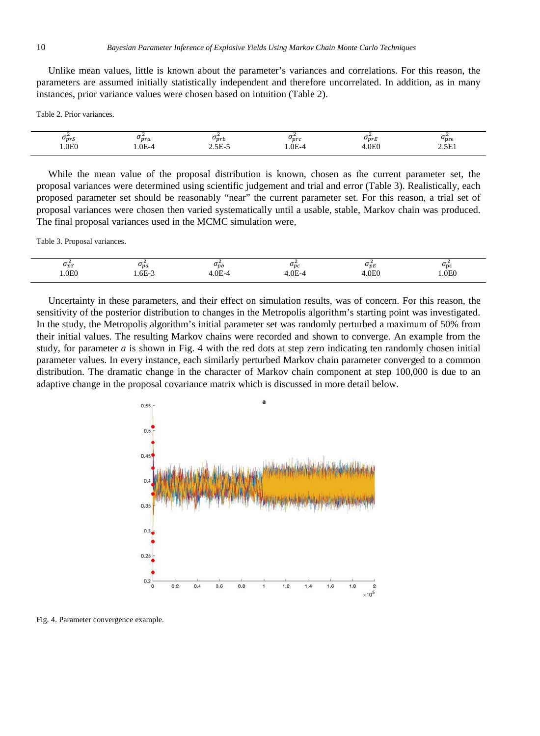Unlike mean values, little is known about the parameter's variances and correlations. For this reason, the parameters are assumed initially statistically independent and therefore uncorrelated. In addition, as in many instances, prior variance values were chosen based on intuition (Table 2).

Table 2. Prior variances.

| 1.0E0<br>.0E0<br>5F<br>.0E- $\sigma$<br>$0F_{\rm -2}$<br><u>ън.</u><br>1.VL<br>المسالين ك<br><u>_ _ _</u> | $v_{prs}$ | <b>P</b> <sub>pra</sub> | $v_{prb}$ | $\mathbf{v}_{prc}$ | $v_{prk}$ | $\mathsf{\nu}_{\mathsf{pre}}$ |
|-----------------------------------------------------------------------------------------------------------|-----------|-------------------------|-----------|--------------------|-----------|-------------------------------|
|-----------------------------------------------------------------------------------------------------------|-----------|-------------------------|-----------|--------------------|-----------|-------------------------------|

While the mean value of the proposal distribution is known, chosen as the current parameter set, the proposal variances were determined using scientific judgement and trial and error (Table 3). Realistically, each proposed parameter set should be reasonably "near" the current parameter set. For this reason, a trial set of proposal variances were chosen then varied systematically until a usable, stable, Markov chain was produced. The final proposal variances used in the MCMC simulation were,

Table 3. Proposal variances.

| $v_{\nu}$ | $v_{pa}$ | $\mathbf{v}_{pb}$ | $v_{nc}$ | $v_{\mu}$ | $\mathsf{\sigma_{De}}$ |
|-----------|----------|-------------------|----------|-----------|------------------------|
| .0E0      | . .OE-1  | $\Lambda$         | ΛF       | 0.0E      | .0E0                   |

Uncertainty in these parameters, and their effect on simulation results, was of concern. For this reason, the sensitivity of the posterior distribution to changes in the Metropolis algorithm's starting point was investigated. In the study, the Metropolis algorithm's initial parameter set was randomly perturbed a maximum of 50% from their initial values. The resulting Markov chains were recorded and shown to converge. An example from the study, for parameter *a* is shown in Fig. 4 with the red dots at step zero indicating ten randomly chosen initial parameter values. In every instance, each similarly perturbed Markov chain parameter converged to a common distribution. The dramatic change in the character of Markov chain component at step 100,000 is due to an adaptive change in the proposal covariance matrix which is discussed in more detail below.



Fig. 4. Parameter convergence example.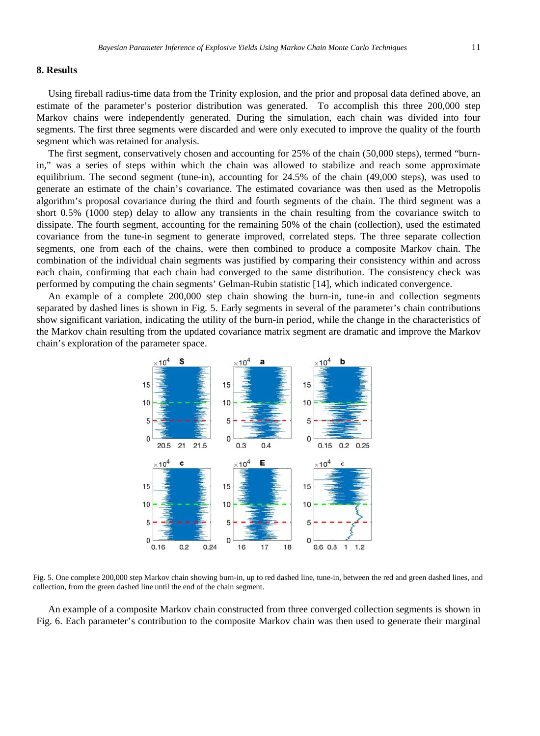#### **8. Results**

Using fireball radius-time data from the Trinity explosion, and the prior and proposal data defined above, an estimate of the parameter's posterior distribution was generated. To accomplish this three 200,000 step Markov chains were independently generated. During the simulation, each chain was divided into four segments. The first three segments were discarded and were only executed to improve the quality of the fourth segment which was retained for analysis.

The first segment, conservatively chosen and accounting for 25% of the chain (50,000 steps), termed "burnin," was a series of steps within which the chain was allowed to stabilize and reach some approximate equilibrium. The second segment (tune-in), accounting for 24.5% of the chain (49,000 steps), was used to generate an estimate of the chain's covariance. The estimated covariance was then used as the Metropolis algorithm's proposal covariance during the third and fourth segments of the chain. The third segment was a short 0.5% (1000 step) delay to allow any transients in the chain resulting from the covariance switch to dissipate. The fourth segment, accounting for the remaining 50% of the chain (collection), used the estimated covariance from the tune-in segment to generate improved, correlated steps. The three separate collection segments, one from each of the chains, were then combined to produce a composite Markov chain. The combination of the individual chain segments was justified by comparing their consistency within and across each chain, confirming that each chain had converged to the same distribution. The consistency check was performed by computing the chain segments' Gelman-Rubin statistic [14], which indicated convergence.

An example of a complete 200,000 step chain showing the burn-in, tune-in and collection segments separated by dashed lines is shown in Fig. 5. Early segments in several of the parameter's chain contributions show significant variation, indicating the utility of the burn-in period, while the change in the characteristics of the Markov chain resulting from the updated covariance matrix segment are dramatic and improve the Markov chain's exploration of the parameter space.



Fig. 5. One complete 200,000 step Markov chain showing burn-in, up to red dashed line, tune-in, between the red and green dashed lines, and collection, from the green dashed line until the end of the chain segment.

An example of a composite Markov chain constructed from three converged collection segments is shown in Fig. 6. Each parameter's contribution to the composite Markov chain was then used to generate their marginal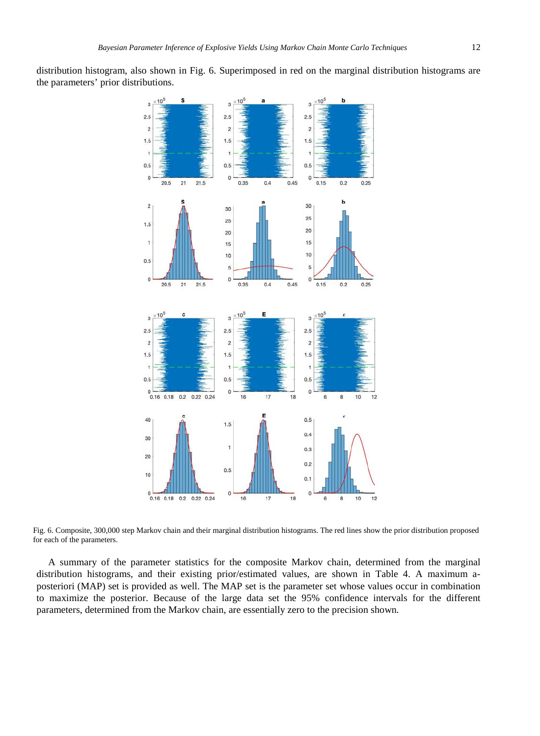distribution histogram, also shown in Fig. 6. Superimposed in red on the marginal distribution histograms are the parameters' prior distributions.



Fig. 6. Composite, 300,000 step Markov chain and their marginal distribution histograms. The red lines show the prior distribution proposed for each of the parameters.

A summary of the parameter statistics for the composite Markov chain, determined from the marginal distribution histograms, and their existing prior/estimated values, are shown in Table 4. A maximum aposteriori (MAP) set is provided as well. The MAP set is the parameter set whose values occur in combination to maximize the posterior. Because of the large data set the 95% confidence intervals for the different parameters, determined from the Markov chain, are essentially zero to the precision shown.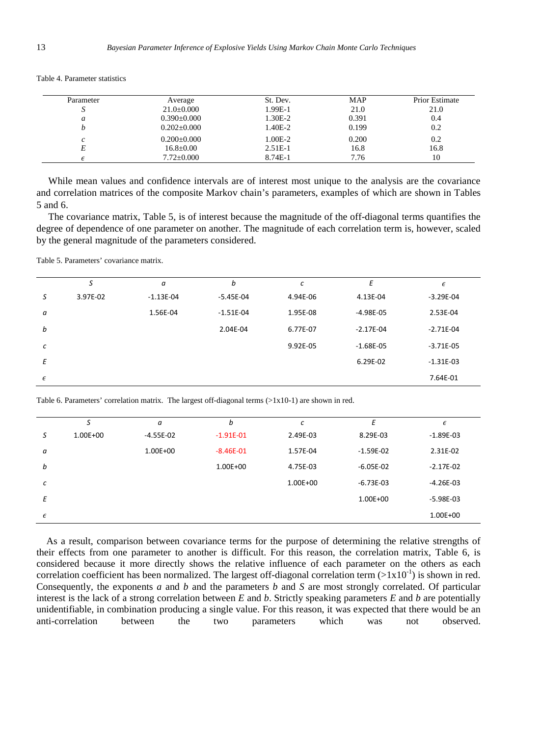| Parameter          | Average           | St. Dev.  | <b>MAP</b> | <b>Prior Estimate</b> |
|--------------------|-------------------|-----------|------------|-----------------------|
|                    | $21.0 \pm 0.000$  | 1.99E-1   | 21.0       | 21.0                  |
| a                  | $0.390\pm0.000$   | 1.30E-2   | 0.391      | 0.4                   |
|                    | $0.202 \pm 0.000$ | 1.40E-2   | 0.199      | 0.2                   |
| $\curvearrowright$ | $0.200 \pm 0.000$ | 1.00E-2   | 0.200      | 0.2                   |
| E                  | $16.8 \pm 0.00$   | $2.51E-1$ | 16.8       | 16.8                  |
|                    | $7.72+0.000$      | 8.74E-1   | 7.76       | 10                    |

Table 4. Parameter statistics

While mean values and confidence intervals are of interest most unique to the analysis are the covariance and correlation matrices of the composite Markov chain's parameters, examples of which are shown in Tables 5 and 6.

The covariance matrix, Table 5, is of interest because the magnitude of the off-diagonal terms quantifies the degree of dependence of one parameter on another. The magnitude of each correlation term is, however, scaled by the general magnitude of the parameters considered.

Table 5. Parameters' covariance matrix.

|            | S        | a           | b             | C        | Е             | $\epsilon$    |
|------------|----------|-------------|---------------|----------|---------------|---------------|
| S          | 3.97E-02 | $-1.13E-04$ | $-5.45E - 04$ | 4.94E-06 | 4.13E-04      | $-3.29E - 04$ |
| a          |          | 1.56E-04    | $-1.51E-04$   | 1.95E-08 | $-4.98E - 05$ | 2.53E-04      |
| b          |          |             | 2.04E-04      | 6.77E-07 | $-2.17E-04$   | $-2.71E-04$   |
| с          |          |             |               | 9.92E-05 | $-1.68E-05$   | $-3.71E-05$   |
| E          |          |             |               |          | 6.29E-02      | $-1.31E-03$   |
| $\epsilon$ |          |             |               |          |               | 7.64E-01      |

Table 6. Parameters' correlation matrix. The largest off-diagonal terms (>1x10-1) are shown in red.

|            | S        | a           | b             | с        | Ε           | $\epsilon$    |
|------------|----------|-------------|---------------|----------|-------------|---------------|
| S          | 1.00E+00 | $-4.55E-02$ | $-1.91E - 01$ | 2.49E-03 | 8.29E-03    | $-1.89E-03$   |
| a          |          | 1.00E+00    | $-8.46E - 01$ | 1.57E-04 | $-1.59E-02$ | 2.31E-02      |
| b          |          |             | 1.00E+00      | 4.75E-03 | $-6.05E-02$ | $-2.17E-02$   |
| с          |          |             |               | 1.00E+00 | $-6.73E-03$ | $-4.26E - 03$ |
| E          |          |             |               |          | 1.00E+00    | $-5.98E - 03$ |
| $\epsilon$ |          |             |               |          |             | 1.00E+00      |

As a result, comparison between covariance terms for the purpose of determining the relative strengths of their effects from one parameter to another is difficult. For this reason, the correlation matrix, Table 6, is considered because it more directly shows the relative influence of each parameter on the others as each correlation coefficient has been normalized. The largest off-diagonal correlation term  $(>1x10^{-1})$  is shown in red. Consequently, the exponents *a* and *b* and the parameters *b* and *S* are most strongly correlated. Of particular interest is the lack of a strong correlation between *E* and *b*. Strictly speaking parameters *E* and *b* are potentially unidentifiable, in combination producing a single value. For this reason, it was expected that there would be an anti-correlation between the two parameters which was not observed anti-correlation between the two parameters which was not observed.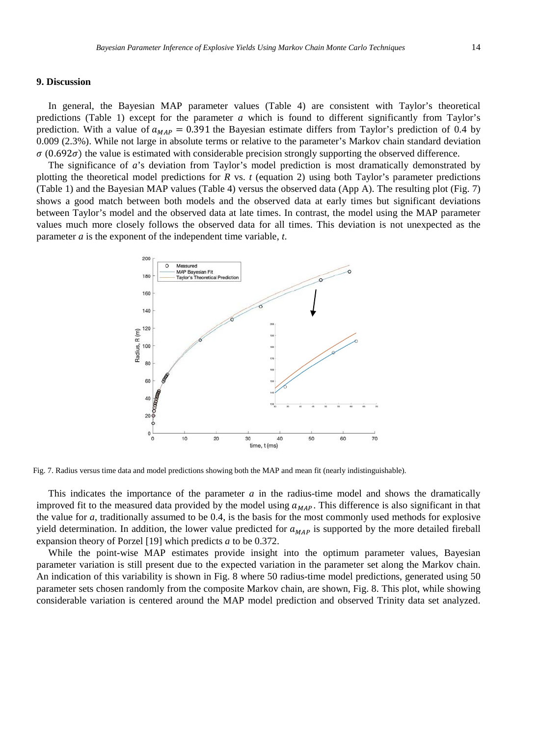# **9. Discussion**

In general, the Bayesian MAP parameter values (Table 4) are consistent with Taylor's theoretical predictions (Table 1) except for the parameter *a* which is found to different significantly from Taylor's prediction. With a value of  $a_{MAP} = 0.391$  the Bayesian estimate differs from Taylor's prediction of 0.4 by 0.009 (2.3%). While not large in absolute terms or relative to the parameter's Markov chain standard deviation  $\sigma$  (0.692 $\sigma$ ) the value is estimated with considerable precision strongly supporting the observed difference.

The significance of *a*'s deviation from Taylor's model prediction is most dramatically demonstrated by plotting the theoretical model predictions for *R* vs. *t* (equation 2) using both Taylor's parameter predictions (Table 1) and the Bayesian MAP values (Table 4) versus the observed data (App A). The resulting plot (Fig. 7) shows a good match between both models and the observed data at early times but significant deviations between Taylor's model and the observed data at late times. In contrast, the model using the MAP parameter values much more closely follows the observed data for all times. This deviation is not unexpected as the parameter *a* is the exponent of the independent time variable, *t*.



Fig. 7. Radius versus time data and model predictions showing both the MAP and mean fit (nearly indistinguishable).

This indicates the importance of the parameter *a* in the radius-time model and shows the dramatically improved fit to the measured data provided by the model using  $a_{MAP}$ . This difference is also significant in that the value for *a*, traditionally assumed to be 0.4, is the basis for the most commonly used methods for explosive yield determination. In addition, the lower value predicted for  $a_{MAP}$  is supported by the more detailed fireball expansion theory of Porzel [19] which predicts *a* to be 0.372.

While the point-wise MAP estimates provide insight into the optimum parameter values, Bayesian parameter variation is still present due to the expected variation in the parameter set along the Markov chain. An indication of this variability is shown in Fig. 8 where 50 radius-time model predictions, generated using 50 parameter sets chosen randomly from the composite Markov chain, are shown, Fig. 8. This plot, while showing considerable variation is centered around the MAP model prediction and observed Trinity data set analyzed.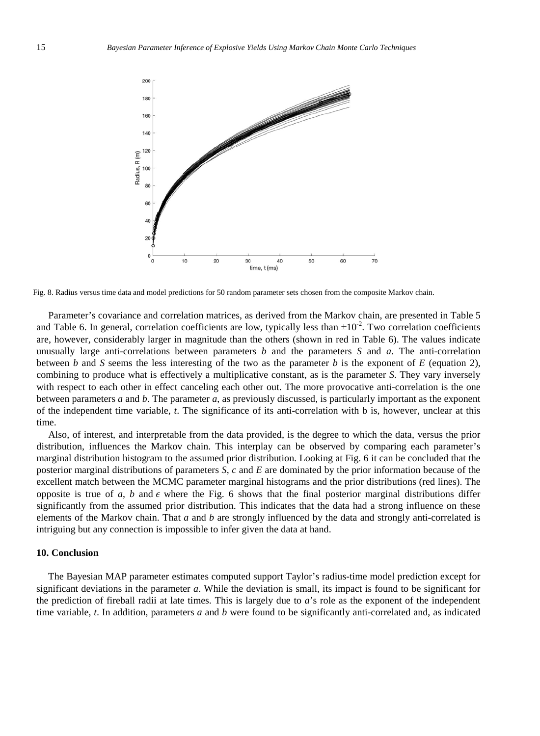

Fig. 8. Radius versus time data and model predictions for 50 random parameter sets chosen from the composite Markov chain.

Parameter's covariance and correlation matrices, as derived from the Markov chain, are presented in Table 5 and Table 6. In general, correlation coefficients are low, typically less than  $\pm 10^{-2}$ . Two correlation coefficients are, however, considerably larger in magnitude than the others (shown in red in Table 6). The values indicate unusually large anti-correlations between parameters *b* and the parameters *S* and *a*. The anti-correlation between *b* and *S* seems the less interesting of the two as the parameter *b* is the exponent of *E* (equation 2), combining to produce what is effectively a multiplicative constant, as is the parameter *S*. They vary inversely with respect to each other in effect canceling each other out. The more provocative anti-correlation is the one between parameters *a* and *b*. The parameter *a*, as previously discussed, is particularly important as the exponent of the independent time variable, *t*. The significance of its anti-correlation with b is, however, unclear at this time.

Also, of interest, and interpretable from the data provided, is the degree to which the data, versus the prior distribution, influences the Markov chain. This interplay can be observed by comparing each parameter's marginal distribution histogram to the assumed prior distribution. Looking at Fig. 6 it can be concluded that the posterior marginal distributions of parameters *S*, *c* and *E* are dominated by the prior information because of the excellent match between the MCMC parameter marginal histograms and the prior distributions (red lines). The opposite is true of *a*, *b* and  $\epsilon$  where the Fig. 6 shows that the final posterior marginal distributions differ significantly from the assumed prior distribution. This indicates that the data had a strong influence on these elements of the Markov chain. That *a* and *b* are strongly influenced by the data and strongly anti-correlated is intriguing but any connection is impossible to infer given the data at hand.

## **10. Conclusion**

The Bayesian MAP parameter estimates computed support Taylor's radius-time model prediction except for significant deviations in the parameter *a*. While the deviation is small, its impact is found to be significant for the prediction of fireball radii at late times. This is largely due to *a*'s role as the exponent of the independent time variable, *t*. In addition, parameters *a* and *b* were found to be significantly anti-correlated and, as indicated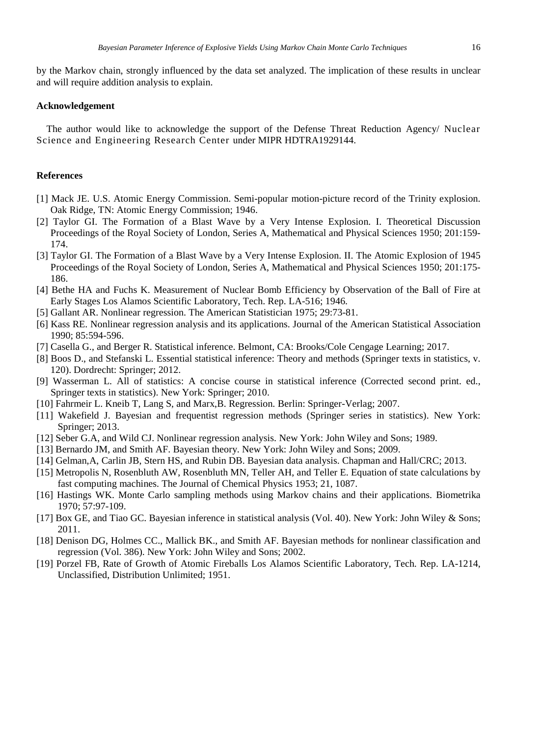by the Markov chain, strongly influenced by the data set analyzed. The implication of these results in unclear and will require addition analysis to explain.

## **Acknowledgement**

The author would like to acknowledge the support of the Defense Threat Reduction Agency/ Nuclear Science and Engineering Research Center under MIPR HDTRA1929144.

#### **References**

- [1] Mack JE. U.S. Atomic Energy Commission. Semi-popular motion-picture record of the Trinity explosion. Oak Ridge, TN: Atomic Energy Commission; 1946.
- [2] Taylor GI. The Formation of a Blast Wave by a Very Intense Explosion. I. Theoretical Discussion Proceedings of the Royal Society of London, Series A, Mathematical and Physical Sciences 1950; 201:159- 174.
- [3] Taylor GI. The Formation of a Blast Wave by a Very Intense Explosion. II. The Atomic Explosion of 1945 Proceedings of the Royal Society of London, Series A, Mathematical and Physical Sciences 1950; 201:175- 186.
- [4] Bethe HA and Fuchs K. Measurement of Nuclear Bomb Efficiency by Observation of the Ball of Fire at Early Stages Los Alamos Scientific Laboratory, Tech. Rep. LA-516; 1946.
- [5] Gallant AR. Nonlinear regression. The American Statistician 1975; 29:73-81.
- [6] Kass RE. Nonlinear regression analysis and its applications. Journal of the American Statistical Association 1990; 85:594-596.
- [7] Casella G., and Berger R. Statistical inference. Belmont, CA: Brooks/Cole Cengage Learning; 2017.
- [8] Boos D., and Stefanski L. Essential statistical inference: Theory and methods (Springer texts in statistics, v. 120). Dordrecht: Springer; 2012.
- [9] Wasserman L. All of statistics: A concise course in statistical inference (Corrected second print. ed., Springer texts in statistics). New York: Springer; 2010.
- [10] Fahrmeir L. Kneib T, Lang S, and Marx,B. Regression. Berlin: Springer-Verlag; 2007.
- [11] Wakefield J. Bayesian and frequentist regression methods (Springer series in statistics). New York: Springer; 2013.
- [12] Seber G.A, and Wild CJ. Nonlinear regression analysis. New York: John Wiley and Sons; 1989.
- [13] Bernardo JM, and Smith AF. Bayesian theory. New York: John Wiley and Sons; 2009.
- [14] Gelman,A, Carlin JB, Stern HS, and Rubin DB. Bayesian data analysis. Chapman and Hall/CRC; 2013.
- [15] Metropolis N, Rosenbluth AW, Rosenbluth MN, Teller AH, and Teller E. Equation of state calculations by fast computing machines. The Journal of Chemical Physics 1953; 21, 1087.
- [16] Hastings WK. Monte Carlo sampling methods using Markov chains and their applications. Biometrika 1970; 57:97-109.
- [17] Box GE, and Tiao GC. Bayesian inference in statistical analysis (Vol. 40). New York: John Wiley & Sons; 2011.
- [18] Denison DG, Holmes CC., Mallick BK., and Smith AF. Bayesian methods for nonlinear classification and regression (Vol. 386). New York: John Wiley and Sons; 2002.
- [19] Porzel FB, Rate of Growth of Atomic Fireballs Los Alamos Scientific Laboratory, Tech. Rep. LA-1214, Unclassified, Distribution Unlimited; 1951.